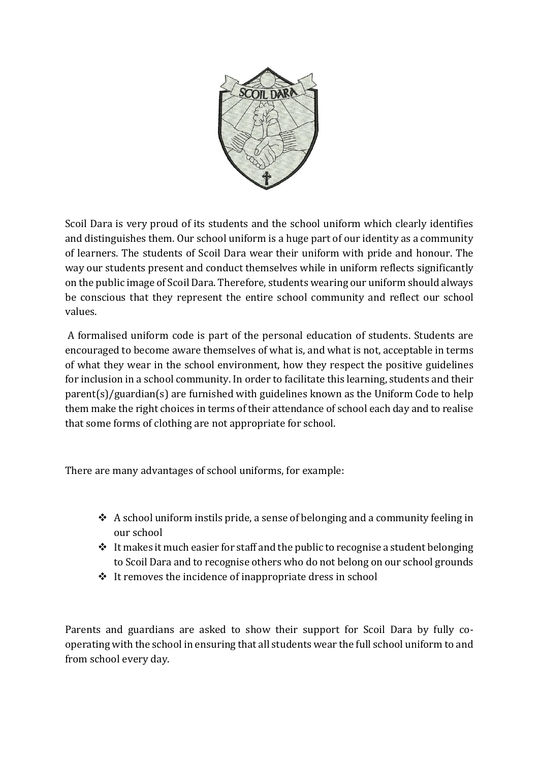

Scoil Dara is very proud of its students and the school uniform which clearly identifies and distinguishes them. Our school uniform is a huge part of our identity as a community of learners. The students of Scoil Dara wear their uniform with pride and honour. The way our students present and conduct themselves while in uniform reflects significantly on the public image of Scoil Dara. Therefore, students wearing our uniform should always be conscious that they represent the entire school community and reflect our school values.

A formalised uniform code is part of the personal education of students. Students are encouraged to become aware themselves of what is, and what is not, acceptable in terms of what they wear in the school environment, how they respect the positive guidelines for inclusion in a school community. In order to facilitate this learning, students and their parent(s)/guardian(s) are furnished with guidelines known as the Uniform Code to help them make the right choices in terms of their attendance of school each day and to realise that some forms of clothing are not appropriate for school.

There are many advantages of school uniforms, for example:

- ❖ A school uniform instils pride, a sense of belonging and a community feeling in our school
- $\triangleq$  It makes it much easier for staff and the public to recognise a student belonging to Scoil Dara and to recognise others who do not belong on our school grounds
- ❖ It removes the incidence of inappropriate dress in school

Parents and guardians are asked to show their support for Scoil Dara by fully cooperating with the school in ensuring that all students wear the full school uniform to and from school every day.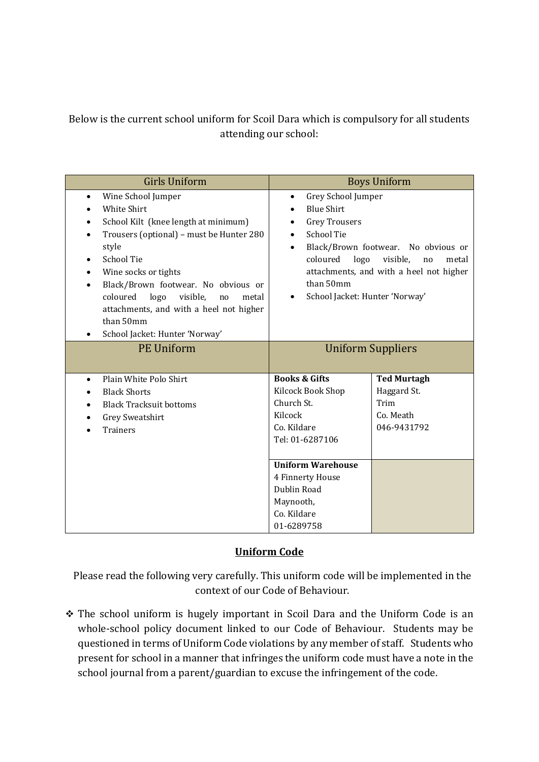Below is the current school uniform for Scoil Dara which is compulsory for all students attending our school:

| <b>Girls Uniform</b>                                                                                                                                                                                                                                                                                                                                                                               | <b>Boys Uniform</b>                                                                                                                                                                                                                                                                                 |                                                                       |
|----------------------------------------------------------------------------------------------------------------------------------------------------------------------------------------------------------------------------------------------------------------------------------------------------------------------------------------------------------------------------------------------------|-----------------------------------------------------------------------------------------------------------------------------------------------------------------------------------------------------------------------------------------------------------------------------------------------------|-----------------------------------------------------------------------|
| Wine School Jumper<br>$\bullet$<br>White Shirt<br>School Kilt (knee length at minimum)<br>Trousers (optional) - must be Hunter 280<br>style<br><b>School Tie</b><br>Wine socks or tights<br>Black/Brown footwear. No obvious or<br>$\bullet$<br>logo<br>coloured<br>visible,<br>metal<br>no<br>attachments, and with a heel not higher<br>than 50mm<br>School Jacket: Hunter 'Norway'<br>$\bullet$ | Grey School Jumper<br>٠<br><b>Blue Shirt</b><br><b>Grey Trousers</b><br>$\bullet$<br><b>School Tie</b><br>Black/Brown footwear. No obvious or<br>$\bullet$<br>logo<br>coloured<br>visible,<br>no<br>metal<br>attachments, and with a heel not higher<br>than 50mm<br>School Jacket: Hunter 'Norway' |                                                                       |
| <b>PE Uniform</b>                                                                                                                                                                                                                                                                                                                                                                                  | <b>Uniform Suppliers</b>                                                                                                                                                                                                                                                                            |                                                                       |
| Plain White Polo Shirt<br>$\bullet$<br><b>Black Shorts</b><br><b>Black Tracksuit bottoms</b><br>Grey Sweatshirt<br><b>Trainers</b>                                                                                                                                                                                                                                                                 | <b>Books &amp; Gifts</b><br>Kilcock Book Shop<br>Church St.<br>Kilcock<br>Co. Kildare<br>Tel: 01-6287106                                                                                                                                                                                            | <b>Ted Murtagh</b><br>Haggard St.<br>Trim<br>Co. Meath<br>046-9431792 |
|                                                                                                                                                                                                                                                                                                                                                                                                    | <b>Uniform Warehouse</b><br>4 Finnerty House<br>Dublin Road<br>Maynooth,<br>Co. Kildare<br>01-6289758                                                                                                                                                                                               |                                                                       |

## **Uniform Code**

Please read the following very carefully. This uniform code will be implemented in the context of our Code of Behaviour.

❖ The school uniform is hugely important in Scoil Dara and the Uniform Code is an whole-school policy document linked to our Code of Behaviour. Students may be questioned in terms of Uniform Code violations by any member of staff. Students who present for school in a manner that infringes the uniform code must have a note in the school journal from a parent/guardian to excuse the infringement of the code.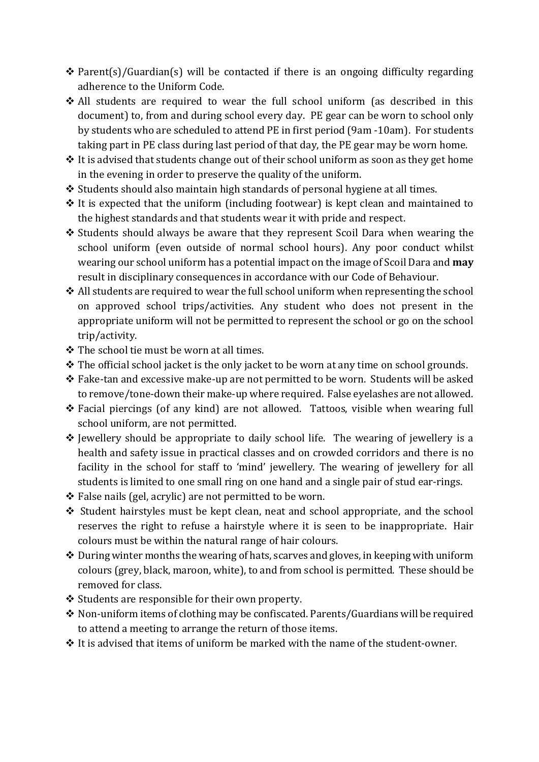- ❖ Parent(s)/Guardian(s) will be contacted if there is an ongoing difficulty regarding adherence to the Uniform Code.
- ❖ All students are required to wear the full school uniform (as described in this document) to, from and during school every day. PE gear can be worn to school only by students who are scheduled to attend PE in first period (9am -10am). For students taking part in PE class during last period of that day, the PE gear may be worn home.
- ❖ It is advised that students change out of their school uniform as soon as they get home in the evening in order to preserve the quality of the uniform.
- ❖ Students should also maintain high standards of personal hygiene at all times.
- ❖ It is expected that the uniform (including footwear) is kept clean and maintained to the highest standards and that students wear it with pride and respect.
- ❖ Students should always be aware that they represent Scoil Dara when wearing the school uniform (even outside of normal school hours). Any poor conduct whilst wearing our school uniform has a potential impact on the image of Scoil Dara and **may**  result in disciplinary consequences in accordance with our Code of Behaviour.
- ❖ All students are required to wear the full school uniform when representing the school on approved school trips/activities. Any student who does not present in the appropriate uniform will not be permitted to represent the school or go on the school trip/activity.
- ❖ The school tie must be worn at all times.
- ❖ The official school jacket is the only jacket to be worn at any time on school grounds.
- ❖ Fake-tan and excessive make-up are not permitted to be worn. Students will be asked to remove/tone-down their make-up where required. False eyelashes are not allowed.
- ❖ Facial piercings (of any kind) are not allowed. Tattoos, visible when wearing full school uniform, are not permitted.
- ❖ Jewellery should be appropriate to daily school life. The wearing of jewellery is a health and safety issue in practical classes and on crowded corridors and there is no facility in the school for staff to 'mind' jewellery. The wearing of jewellery for all students is limited to one small ring on one hand and a single pair of stud ear-rings.
- ❖ False nails (gel, acrylic) are not permitted to be worn.
- ❖ Student hairstyles must be kept clean, neat and school appropriate, and the school reserves the right to refuse a hairstyle where it is seen to be inappropriate. Hair colours must be within the natural range of hair colours.
- ❖ During winter months the wearing of hats, scarves and gloves, in keeping with uniform colours (grey, black, maroon, white), to and from school is permitted. These should be removed for class.
- ❖ Students are responsible for their own property.
- ❖ Non-uniform items of clothing may be confiscated. Parents/Guardians will be required to attend a meeting to arrange the return of those items.
- ❖ It is advised that items of uniform be marked with the name of the student-owner.